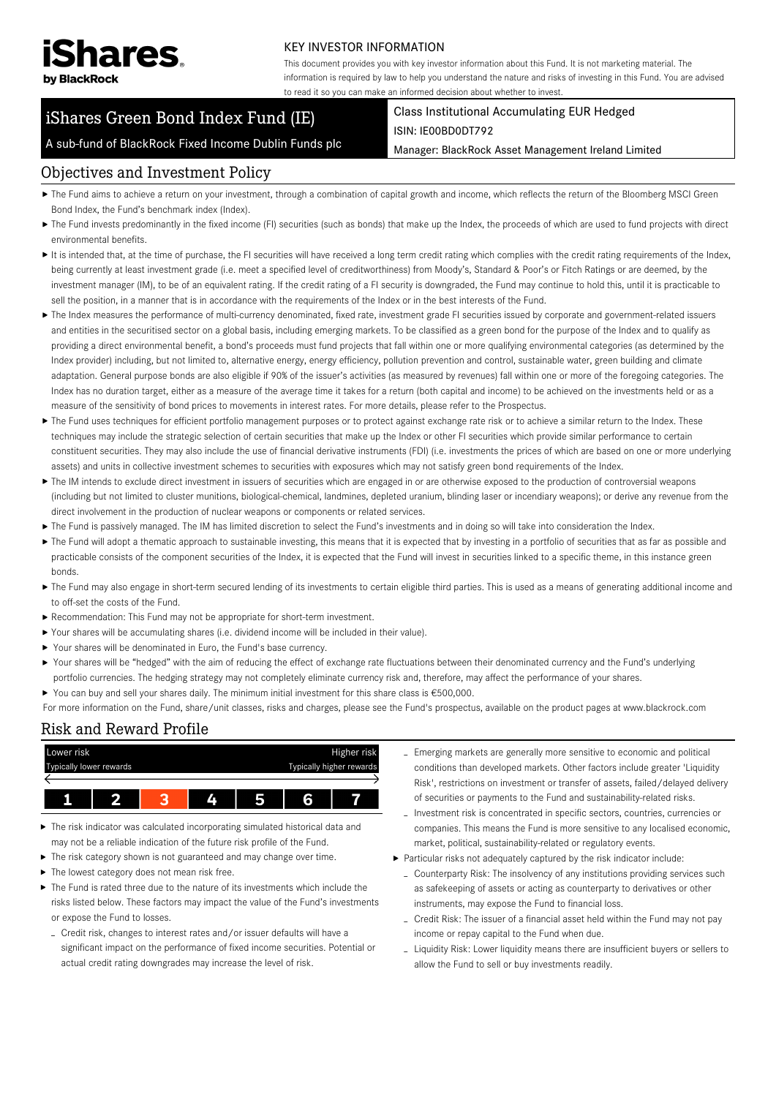

#### KEY INVESTOR INFORMATION

This document provides you with key investor information about this Fund. It is not marketing material. The information is required by law to help you understand the nature and risks of investing in this Fund. You are advised to read it so you can make an informed decision about whether to invest.

# iShares Green Bond Index Fund (IE)

Class Institutional Accumulating EUR Hedged ISIN: IE00BD0DT792

A sub-fund of BlackRock Fixed Income Dublin Funds plc

Manager: BlackRock Asset Management Ireland Limited

### Objectives and Investment Policy

- ▶ The Fund aims to achieve a return on your investment, through a combination of capital growth and income, which reflects the return of the Bloomberg MSCI Green Bond Index, the Fund's benchmark index (Index).
- ▶ The Fund invests predominantly in the fixed income (FI) securities (such as bonds) that make up the Index, the proceeds of which are used to fund projects with direct environmental benefits.
- It is intended that, at the time of purchase, the FI securities will have received a long term credit rating which complies with the credit rating requirements of the Index, being currently at least investment grade (i.e. meet a specified level of creditworthiness) from Moody's, Standard & Poor's or Fitch Ratings or are deemed, by the investment manager (IM), to be of an equivalent rating. If the credit rating of a FI security is downgraded, the Fund may continue to hold this, until it is practicable to sell the position, in a manner that is in accordance with the requirements of the Index or in the best interests of the Fund.
- ▶ The Index measures the performance of multi-currency denominated, fixed rate, investment grade FI securities issued by corporate and government-related issuers and entities in the securitised sector on a global basis, including emerging markets. To be classified as a green bond for the purpose of the Index and to qualify as providing a direct environmental benefit, a bond's proceeds must fund projects that fall within one or more qualifying environmental categories (as determined by the Index provider) including, but not limited to, alternative energy, energy efficiency, pollution prevention and control, sustainable water, green building and climate adaptation. General purpose bonds are also eligible if 90% of the issuer's activities (as measured by revenues) fall within one or more of the foregoing categories. The Index has no duration target, either as a measure of the average time it takes for a return (both capital and income) to be achieved on the investments held or as a measure of the sensitivity of bond prices to movements in interest rates. For more details, please refer to the Prospectus.
- ▶ The Fund uses techniques for efficient portfolio management purposes or to protect against exchange rate risk or to achieve a similar return to the Index. These techniques may include the strategic selection of certain securities that make up the Index or other FI securities which provide similar performance to certain constituent securities. They may also include the use of financial derivative instruments (FDI) (i.e. investments the prices of which are based on one or more underlying assets) and units in collective investment schemes to securities with exposures which may not satisfy green bond requirements of the Index.
- ▶ The IM intends to exclude direct investment in issuers of securities which are engaged in or are otherwise exposed to the production of controversial weapons (including but not limited to cluster munitions, biological-chemical, landmines, depleted uranium, blinding laser or incendiary weapons); or derive any revenue from the direct involvement in the production of nuclear weapons or components or related services.
- ▶ The Fund is passively managed. The IM has limited discretion to select the Fund's investments and in doing so will take into consideration the Index.
- ▶ The Fund will adopt a thematic approach to sustainable investing, this means that it is expected that by investing in a portfolio of securities that as far as possible and practicable consists of the component securities of the Index, it is expected that the Fund will invest in securities linked to a specific theme, in this instance green bonds.
- ▶ The Fund may also engage in short-term secured lending of its investments to certain eligible third parties. This is used as a means of generating additional income and to off-set the costs of the Fund.
- Recommendation: This Fund may not be appropriate for short-term investment.
- Your shares will be accumulating shares (i.e. dividend income will be included in their value).
- Your shares will be denominated in Euro, the Fund's base currency.
- ▶ Your shares will be "hedged" with the aim of reducing the effect of exchange rate fluctuations between their denominated currency and the Fund's underlying portfolio currencies. The hedging strategy may not completely eliminate currency risk and, therefore, may affect the performance of your shares.
- You can buy and sell your shares daily. The minimum initial investment for this share class is €500,000.
- For more information on the Fund, share/unit classes, risks and charges, please see the Fund's prospectus, available on the product pages at www.blackrock.com

#### Risk and Reward Profile



- The risk indicator was calculated incorporating simulated historical data and may not be a reliable indication of the future risk profile of the Fund.
- ▶ The risk category shown is not guaranteed and may change over time.
- $\blacktriangleright$  The lowest category does not mean risk free.
- The Fund is rated three due to the nature of its investments which include the risks listed below. These factors may impact the value of the Fund's investments or expose the Fund to losses.
	- Credit risk, changes to interest rates and/or issuer defaults will have a significant impact on the performance of fixed income securities. Potential or actual credit rating downgrades may increase the level of risk.
- Emerging markets are generally more sensitive to economic and political conditions than developed markets. Other factors include greater 'Liquidity Risk', restrictions on investment or transfer of assets, failed/delayed delivery of securities or payments to the Fund and sustainability-related risks.
- Investment risk is concentrated in specific sectors, countries, currencies or companies. This means the Fund is more sensitive to any localised economic, market, political, sustainability-related or regulatory events.
- Particular risks not adequately captured by the risk indicator include:
	- Counterparty Risk: The insolvency of any institutions providing services such as safekeeping of assets or acting as counterparty to derivatives or other instruments, may expose the Fund to financial loss.
	- Credit Risk: The issuer of a financial asset held within the Fund may not pay income or repay capital to the Fund when due.
	- Liquidity Risk: Lower liquidity means there are insufficient buyers or sellers to allow the Fund to sell or buy investments readily.